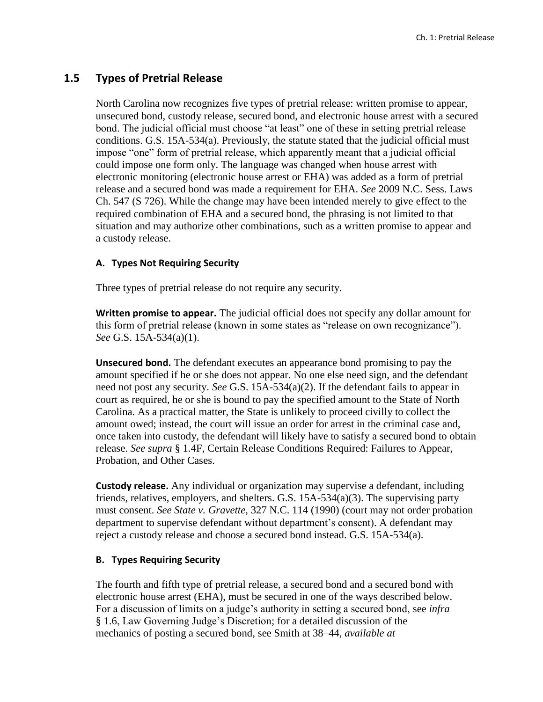# **1.5 Types of Pretrial Release**

North Carolina now recognizes five types of pretrial release: written promise to appear, unsecured bond, custody release, secured bond, and electronic house arrest with a secured bond. The judicial official must choose "at least" one of these in setting pretrial release conditions. G.S. 15A-534(a). Previously, the statute stated that the judicial official must impose "one" form of pretrial release, which apparently meant that a judicial official could impose one form only. The language was changed when house arrest with electronic monitoring (electronic house arrest or EHA) was added as a form of pretrial release and a secured bond was made a requirement for EHA. *See* 2009 N.C. Sess. Laws Ch. 547 (S 726). While the change may have been intended merely to give effect to the required combination of EHA and a secured bond, the phrasing is not limited to that situation and may authorize other combinations, such as a written promise to appear and a custody release.

### **A. Types Not Requiring Security**

Three types of pretrial release do not require any security.

**Written promise to appear.** The judicial official does not specify any dollar amount for this form of pretrial release (known in some states as "release on own recognizance"). *See* G.S. 15A-534(a)(1).

**Unsecured bond.** The defendant executes an appearance bond promising to pay the amount specified if he or she does not appear. No one else need sign, and the defendant need not post any security. *See* G.S. 15A-534(a)(2). If the defendant fails to appear in court as required, he or she is bound to pay the specified amount to the State of North Carolina. As a practical matter, the State is unlikely to proceed civilly to collect the amount owed; instead, the court will issue an order for arrest in the criminal case and, once taken into custody, the defendant will likely have to satisfy a secured bond to obtain release. *See supra* § 1.4F, Certain Release Conditions Required: Failures to Appear, Probation, and Other Cases.

**Custody release.** Any individual or organization may supervise a defendant, including friends, relatives, employers, and shelters. G.S. 15A-534(a)(3). The supervising party must consent. *See State v. Gravette*, 327 N.C. 114 (1990) (court may not order probation department to supervise defendant without department's consent). A defendant may reject a custody release and choose a secured bond instead. G.S. 15A-534(a).

#### **B. Types Requiring Security**

The fourth and fifth type of pretrial release, a secured bond and a secured bond with electronic house arrest (EHA), must be secured in one of the ways described below. For a discussion of limits on a judge's authority in setting a secured bond, see *infra*  § 1.6, Law Governing Judge's Discretion; for a detailed discussion of the mechanics of posting a secured bond, see Smith at 38–44, *available at*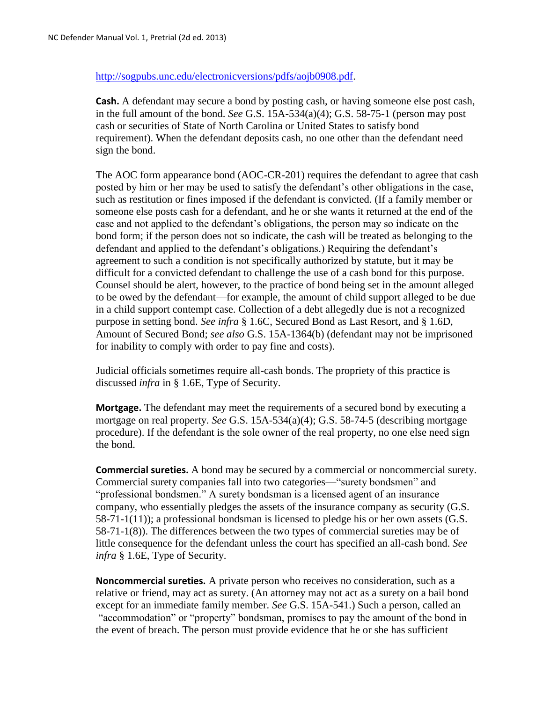### [http://sogpubs.unc.edu/electronicversions/pdfs/aojb0908.pdf.](http://sogpubs.unc.edu/electronicversions/pdfs/aojb0908.pdf)

**Cash.** A defendant may secure a bond by posting cash, or having someone else post cash, in the full amount of the bond. *See* G.S. 15A-534(a)(4); G.S. 58-75-1 (person may post cash or securities of State of North Carolina or United States to satisfy bond requirement). When the defendant deposits cash, no one other than the defendant need sign the bond.

The AOC form appearance bond (AOC-CR-201) requires the defendant to agree that cash posted by him or her may be used to satisfy the defendant's other obligations in the case, such as restitution or fines imposed if the defendant is convicted. (If a family member or someone else posts cash for a defendant, and he or she wants it returned at the end of the case and not applied to the defendant's obligations, the person may so indicate on the bond form; if the person does not so indicate, the cash will be treated as belonging to the defendant and applied to the defendant's obligations.) Requiring the defendant's agreement to such a condition is not specifically authorized by statute, but it may be difficult for a convicted defendant to challenge the use of a cash bond for this purpose. Counsel should be alert, however, to the practice of bond being set in the amount alleged to be owed by the defendant—for example, the amount of child support alleged to be due in a child support contempt case. Collection of a debt allegedly due is not a recognized purpose in setting bond. *See infra* § 1.6C, Secured Bond as Last Resort, and § 1.6D, Amount of Secured Bond; *see also* G.S. 15A-1364(b) (defendant may not be imprisoned for inability to comply with order to pay fine and costs).

Judicial officials sometimes require all-cash bonds. The propriety of this practice is discussed *infra* in § 1.6E, Type of Security.

**Mortgage.** The defendant may meet the requirements of a secured bond by executing a mortgage on real property. *See* G.S. 15A-534(a)(4); G.S. 58-74-5 (describing mortgage procedure). If the defendant is the sole owner of the real property, no one else need sign the bond.

**Commercial sureties.** A bond may be secured by a commercial or noncommercial surety. Commercial surety companies fall into two categories—"surety bondsmen" and "professional bondsmen." A surety bondsman is a licensed agent of an insurance company, who essentially pledges the assets of the insurance company as security (G.S. 58-71-1(11)); a professional bondsman is licensed to pledge his or her own assets (G.S. 58-71-1(8)). The differences between the two types of commercial sureties may be of little consequence for the defendant unless the court has specified an all-cash bond. *See infra* § 1.6E, Type of Security.

**Noncommercial sureties.** A private person who receives no consideration, such as a relative or friend, may act as surety. (An attorney may not act as a surety on a bail bond except for an immediate family member. *See* G.S. 15A-541.) Such a person, called an "accommodation" or "property" bondsman, promises to pay the amount of the bond in the event of breach. The person must provide evidence that he or she has sufficient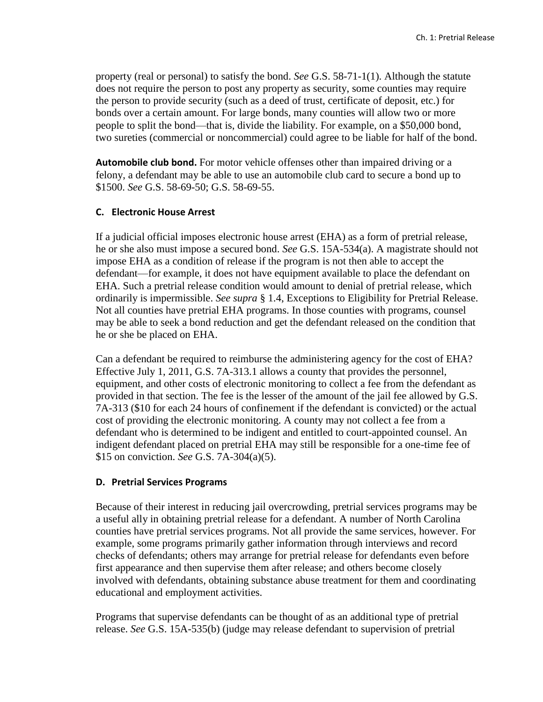property (real or personal) to satisfy the bond. *See* G.S. 58-71-1(1). Although the statute does not require the person to post any property as security, some counties may require the person to provide security (such as a deed of trust, certificate of deposit, etc.) for bonds over a certain amount. For large bonds, many counties will allow two or more people to split the bond—that is, divide the liability. For example, on a \$50,000 bond, two sureties (commercial or noncommercial) could agree to be liable for half of the bond.

**Automobile club bond.** For motor vehicle offenses other than impaired driving or a felony, a defendant may be able to use an automobile club card to secure a bond up to \$1500. *See* G.S. 58-69-50; G.S. 58-69-55.

### **C. Electronic House Arrest**

If a judicial official imposes electronic house arrest (EHA) as a form of pretrial release, he or she also must impose a secured bond. *See* G.S. 15A-534(a). A magistrate should not impose EHA as a condition of release if the program is not then able to accept the defendant—for example, it does not have equipment available to place the defendant on EHA. Such a pretrial release condition would amount to denial of pretrial release, which ordinarily is impermissible. *See supra* § 1.4, Exceptions to Eligibility for Pretrial Release. Not all counties have pretrial EHA programs. In those counties with programs, counsel may be able to seek a bond reduction and get the defendant released on the condition that he or she be placed on EHA.

Can a defendant be required to reimburse the administering agency for the cost of EHA? Effective July 1, 2011, G.S. 7A-313.1 allows a county that provides the personnel, equipment, and other costs of electronic monitoring to collect a fee from the defendant as provided in that section. The fee is the lesser of the amount of the jail fee allowed by G.S. 7A-313 (\$10 for each 24 hours of confinement if the defendant is convicted) or the actual cost of providing the electronic monitoring. A county may not collect a fee from a defendant who is determined to be indigent and entitled to court-appointed counsel. An indigent defendant placed on pretrial EHA may still be responsible for a one-time fee of \$15 on conviction. *See* G.S. 7A-304(a)(5).

## **D. Pretrial Services Programs**

Because of their interest in reducing jail overcrowding, pretrial services programs may be a useful ally in obtaining pretrial release for a defendant. A number of North Carolina counties have pretrial services programs. Not all provide the same services, however. For example, some programs primarily gather information through interviews and record checks of defendants; others may arrange for pretrial release for defendants even before first appearance and then supervise them after release; and others become closely involved with defendants, obtaining substance abuse treatment for them and coordinating educational and employment activities.

Programs that supervise defendants can be thought of as an additional type of pretrial release. *See* G.S. 15A-535(b) (judge may release defendant to supervision of pretrial